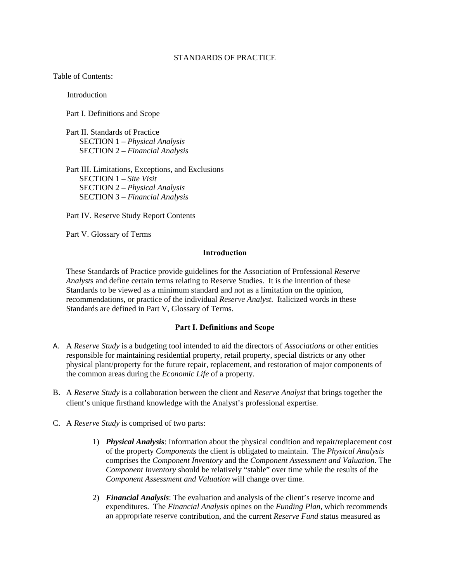### STANDARDS OF PRACTICE

Table of Contents:

**Introduction** 

Part I. Definitions and Scope

Part II. Standards of Practice SECTION 1 – *Physical Analysis* SECTION 2 – *Financial Analysis*

Part III. Limitations, Exceptions, and Exclusions SECTION 1 – *Site Visit* SECTION 2 – *Physical Analysis* SECTION 3 – *Financial Analysis* 

Part IV. Reserve Study Report Contents

Part V. Glossary of Terms

### **Introduction**

These Standards of Practice provide guidelines for the Association of Professional *Reserve Analyst*s and define certain terms relating to Reserve Studies. It is the intention of these Standards to be viewed as a minimum standard and not as a limitation on the opinion, recommendations, or practice of the individual *Reserve Analyst*. Italicized words in these Standards are defined in Part V, Glossary of Terms.

## **Part I. Definitions and Scope**

- A. A *Reserve Study* is a budgeting tool intended to aid the directors of *Associations* or other entities responsible for maintaining residential property, retail property, special districts or any other physical plant/property for the future repair, replacement, and restoration of major components of the common areas during the *Economic Life* of a property.
- B. A *Reserve Study* is a collaboration between the client and *Reserve Analyst* that brings together the client's unique firsthand knowledge with the Analyst's professional expertise.
- C. A *Reserve Study* is comprised of two parts:
	- 1) *Physical Analysis*: Information about the physical condition and repair/replacement cost of the property *Components* the client is obligated to maintain. The *Physical Analysis* comprises the *Component Inventory* and the *Component Assessment and Valuation*. The *Component Inventory* should be relatively "stable" over time while the results of the *Component Assessment and Valuation* will change over time.
	- 2) *Financial Analysis*: The evaluation and analysis of the client's reserve income and expenditures. The *Financial Analysis* opines on the *Funding Plan,* which recommends an appropriate reserve contribution, and the current *Reserve Fund* status measured as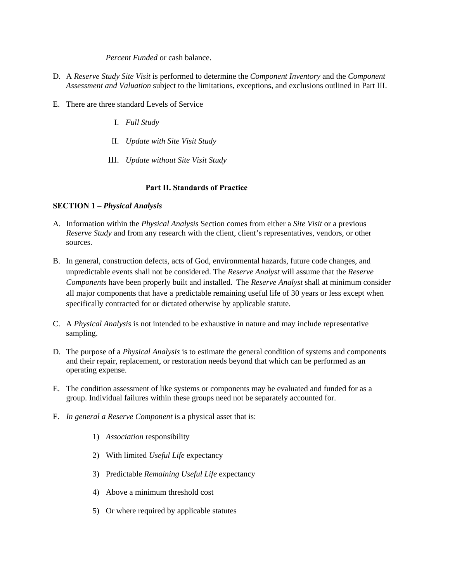*Percent Funded* or cash balance.

- D. A *Reserve Study Site Visit* is performed to determine the *Component Inventory* and the *Component Assessment and Valuation* subject to the limitations, exceptions, and exclusions outlined in Part III.
- E. There are three standard Levels of Service
	- I. *Full Study*
	- II. *Update with Site Visit Study*
	- III. *Update without Site Visit Study*

# **Part II. Standards of Practice**

## **SECTION 1 –** *Physical Analysis*

- A. Information within the *Physical Analysis* Section comes from either a *Site Visit* or a previous *Reserve Study* and from any research with the client, client's representatives, vendors, or other sources.
- B. In general, construction defects, acts of God, environmental hazards, future code changes, and unpredictable events shall not be considered. The *Reserve Analyst* will assume that the *Reserve Component*s have been properly built and installed. The *Reserve Analyst* shall at minimum consider all major components that have a predictable remaining useful life of 30 years or less except when specifically contracted for or dictated otherwise by applicable statute.
- C. A *Physical Analysis* is not intended to be exhaustive in nature and may include representative sampling.
- D. The purpose of a *Physical Analysis* is to estimate the general condition of systems and components and their repair, replacement, or restoration needs beyond that which can be performed as an operating expense.
- E. The condition assessment of like systems or components may be evaluated and funded for as a group. Individual failures within these groups need not be separately accounted for.
- F. *In general a Reserve Component* is a physical asset that is:
	- 1) *Association* responsibility
	- 2) With limited *Useful Life* expectancy
	- 3) Predictable *Remaining Useful Life* expectancy
	- 4) Above a minimum threshold cost
	- 5) Or where required by applicable statutes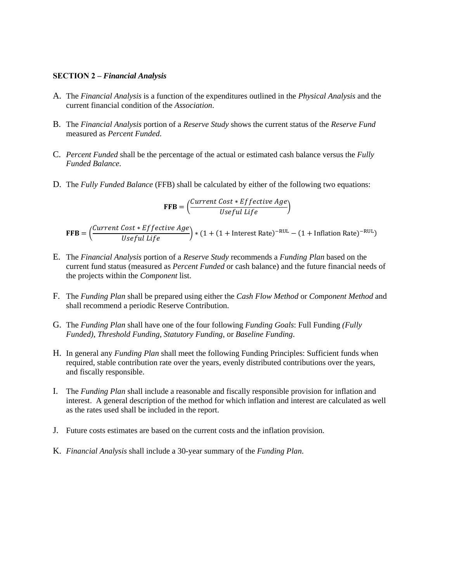#### **SECTION 2 –** *Financial Analysis*

- A. The *Financial Analysis* is a function of the expenditures outlined in the *Physical Analysis* and the current financial condition of the *Association*.
- B. The *Financial Analysis* portion of a *Reserve Study* shows the current status of the *Reserve Fund* measured as *Percent Funded*.
- C. *Percent Funded* shall be the percentage of the actual or estimated cash balance versus the *Fully Funded Balance*.
- D. The *Fully Funded Balance* (FFB) shall be calculated by either of the following two equations:

$$
\text{FFB} = \left(\frac{\text{Current Cost} * \text{Effective Age}}{\text{Useful Life}}\right)
$$

 $\texttt{FFB} = \left(\frac{\textit{Current Cost} * \textit{Effective Age}}{\textit{Useful Life}}\right) * (1 + (1 + \text{Interest Rate})^{-\text{RUL}} - (1 + \text{Inflation Rate})^{-\text{RUL}})$ 

- E. The *Financial Analysis* portion of a *Reserve Study* recommends a *Funding Plan* based on the current fund status (measured as *Percent Funded* or cash balance) and the future financial needs of the projects within the *Component* list.
- F. The *Funding Plan* shall be prepared using either the *Cash Flow Method* or *Component Method* and shall recommend a periodic Reserve Contribution.
- G. The *Funding Plan* shall have one of the four following *Funding Goals*: Full Funding *(Fully Funded)*, *Threshold Funding*, *Statutory Funding*, or *Baseline Funding*.
- H. In general any *Funding Plan* shall meet the following Funding Principles: Sufficient funds when required, stable contribution rate over the years, evenly distributed contributions over the years, and fiscally responsible.
- I. The *Funding Plan* shall include a reasonable and fiscally responsible provision for inflation and interest. A general description of the method for which inflation and interest are calculated as well as the rates used shall be included in the report.
- J. Future costs estimates are based on the current costs and the inflation provision.
- K. *Financial Analysis* shall include a 30-year summary of the *Funding Plan*.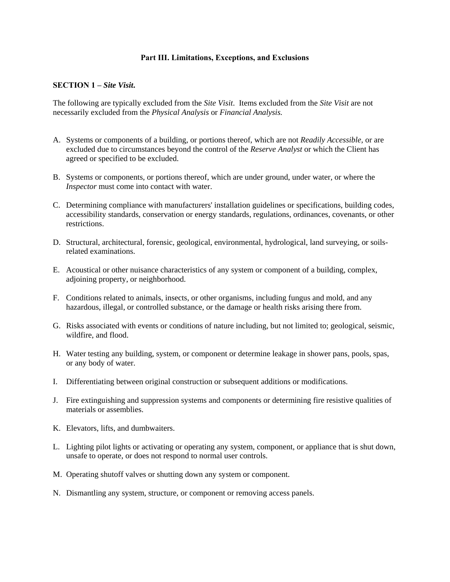## **Part III. Limitations, Exceptions, and Exclusions**

### **SECTION 1 –** *Site Visit***.**

The following are typically excluded from the *Site Visit*. Items excluded from the *Site Visit* are not necessarily excluded from the *Physical Analysis* or *Financial Analysis.*

- A. Systems or components of a building*,* or portions thereof, which are not *Readily Accessible,* or are excluded due to circumstances beyond the control of the *Reserve Analyst* or which the Client has agreed or specified to be excluded.
- B. System*s* or components*,* or portions thereof, which are under ground, under water, or where the *Inspector* must come into contact with water.
- C. Determining compliance with manufacturers' installation guidelines or specifications, building codes, accessibility standards, conservation or energy standards, regulations, ordinances, covenants, or other restrictions.
- D. Structural, architectural, forensic, geological, environmental, hydrological, land surveying, or soilsrelated examinations.
- E. Acoustical or other nuisance characteristics of any system or component of a building, complex, adjoining property, or neighborhood.
- F. Conditions related to animals, insects, or other organisms, including fungus and mold, and any hazardous, illegal, or controlled substance, or the damage or health risks arising there from.
- G. Risks associated with events or conditions of nature including, but not limited to; geological, seismic, wildfire, and flood.
- H. Water testing any building, system, or component or determine leakage in shower pans, pools, spas, or any body of water.
- I. Differentiating between original construction or subsequent additions or modifications.
- J. Fire extinguishing and suppression systems and components or determining fire resistive qualities of materials or assemblies.
- K. Elevators, lifts, and dumbwaiters.
- L. Lighting pilot lights or activating or operating any system, component, or appliance that is shut down, unsafe to operate, or does not respond to normal user controls.
- M. Operating shutoff valves or shutting down any system or component.
- N. Dismantling any system, structure, or component or removing access panels.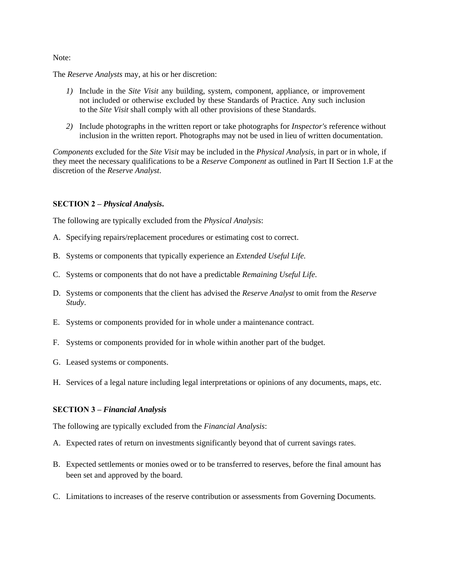Note:

The *Reserve Analysts* may, at his or her discretion:

- *1)* Include in the *Site Visit* any building, system, component, appliance*,* or improvement not included or otherwise excluded by these Standards of Practice. Any such inclusion to the *Site Visit* shall comply with all other provisions of these Standards.
- *2)* Include photographs in the written report or take photographs for *Inspector's* reference without inclusion in the written report. Photographs may not be used in lieu of written documentation.

*Components* excluded for the *Site Visit* may be included in the *Physical Analysis*, in part or in whole, if they meet the necessary qualifications to be a *Reserve Component* as outlined in Part II Section 1.F at the discretion of the *Reserve Analyst*.

## **SECTION 2 –** *Physical Analysis***.**

The following are typically excluded from the *Physical Analysis*:

- A. Specifying repairs/replacement procedures or estimating cost to correct.
- B. Systems or components that typically experience an *Extended Useful Life.*
- C. Systems or components that do not have a predictable *Remaining Useful Life*.
- D. Systems or components that the client has advised the *Reserve Analyst* to omit from the *Reserve Study*.
- E. Systems or components provided for in whole under a maintenance contract.
- F. Systems or components provided for in whole within another part of the budget.
- G. Leased systems or components.
- H. Services of a legal nature including legal interpretations or opinions of any documents, maps, etc.

#### **SECTION 3 –** *Financial Analysis*

The following are typically excluded from the *Financial Analysis*:

- A. Expected rates of return on investments significantly beyond that of current savings rates.
- B. Expected settlements or monies owed or to be transferred to reserves, before the final amount has been set and approved by the board.
- C. Limitations to increases of the reserve contribution or assessments from Governing Documents.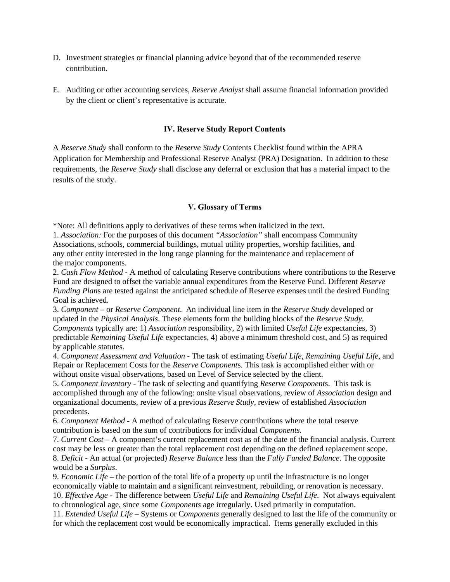- D. Investment strategies or financial planning advice beyond that of the recommended reserve contribution.
- E. Auditing or other accounting services, *Reserve Analyst* shall assume financial information provided by the client or client's representative is accurate.

## **IV. Reserve Study Report Contents**

A *Reserve Study* shall conform to the *Reserve Study* Contents Checklist found within the APRA Application for Membership and Professional Reserve Analyst (PRA) Designation. In addition to these requirements, the *Reserve Study* shall disclose any deferral or exclusion that has a material impact to the results of the study.

#### **V. Glossary of Terms**

\*Note: All definitions apply to derivatives of these terms when italicized in the text.

1. *Association:* For the purposes of this document *"Association"* shall encompass Community Associations, schools, commercial buildings, mutual utility properties, worship facilities, and any other entity interested in the long range planning for the maintenance and replacement of the major components.

2. *Cash Flow Method* - A method of calculating Reserve contributions where contributions to the Reserve Fund are designed to offset the variable annual expenditures from the Reserve Fund. Different *Reserve Funding Plan*s are tested against the anticipated schedule of Reserve expenses until the desired Funding Goal is achieved.

3. *Component* – or *Reserve Component*. An individual line item in the *Reserve Study* developed or updated in the *Physical Analysis*. These elements form the building blocks of the *Reserve Study*. *Components* typically are: 1) *Association* responsibility, 2) with limited *Useful Life* expectancies, 3) predictable *Remaining Useful Life* expectancies, 4) above a minimum threshold cost, and 5) as required by applicable statutes.

4. *Component Assessment and Valuation* - The task of estimating *Useful Life*, *Remaining Useful Life*, and Repair or Replacement Costs for the *Reserve Component*s. This task is accomplished either with or without onsite visual observations, based on Level of Service selected by the client.

5. *Component Inventory* - The task of selecting and quantifying *Reserve Component*s. This task is accomplished through any of the following: onsite visual observations, review of *Association* design and organizational documents, review of a previous *Reserve Study*, review of established *Association* precedents.

6. *Component Method* - A method of calculating Reserve contributions where the total reserve contribution is based on the sum of contributions for individual *Components.*

7. *Current Cost* – A component's current replacement cost as of the date of the financial analysis. Current cost may be less or greater than the total replacement cost depending on the defined replacement scope. 8. *Deficit* - An actual (or projected) *Reserve Balance* less than the *Fully Funded Balance*. The opposite would be a *Surplus*.

9. *Economic Life* – the portion of the total life of a property up until the infrastructure is no longer economically viable to maintain and a significant reinvestment, rebuilding, or renovation is necessary. 10. *Effective Age* - The difference between *Useful Life* and *Remaining Useful Life*. Not always equivalent to chronological age, since some *Components* age irregularly. Used primarily in computation.

11. *Extended Useful Life* – Systems or C*omponents* generally designed to last the life of the community or for which the replacement cost would be economically impractical. Items generally excluded in this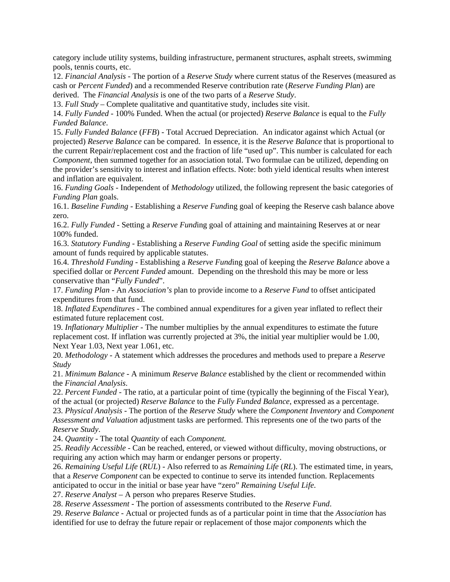category include utility systems, building infrastructure, permanent structures, asphalt streets, swimming pools, tennis courts, etc.

12. *Financial Analysis* - The portion of a *Reserve Study* where current status of the Reserves (measured as cash or *Percent Funded*) and a recommended Reserve contribution rate (*Reserve Funding Plan*) are derived. The *Financial Analysis* is one of the two parts of a *Reserve Study*.

13. *Full Study –* Complete qualitative and quantitative study, includes site visit.

14. *Fully Funded* - 100% Funded. When the actual (or projected) *Reserve Balance* is equal to the *Fully Funded Balance*.

15. *Fully Funded Balance* (*FFB*) - Total Accrued Depreciation. An indicator against which Actual (or projected) *Reserve Balance* can be compared. In essence, it is the *Reserve Balance* that is proportional to the current Repair/replacement cost and the fraction of life "used up". This number is calculated for each *Component*, then summed together for an association total. Two formulae can be utilized, depending on the provider's sensitivity to interest and inflation effects. Note: both yield identical results when interest and inflation are equivalent.

16. *Funding Goals* - Independent of *Methodology* utilized, the following represent the basic categories of *Funding Plan* goals.

16.1. *Baseline Funding* - Establishing a *Reserve Fund*ing goal of keeping the Reserve cash balance above zero.

16.2. *Fully Funded* - Setting a *Reserve Fund*ing goal of attaining and maintaining Reserves at or near 100% funded.

16.3. *Statutory Funding* - Establishing a *Reserve Funding Goal* of setting aside the specific minimum amount of funds required by applicable statutes.

16.4. *Threshold Funding* - Establishing a *Reserve Fund*ing goal of keeping the *Reserve Balance* above a specified dollar or *Percent Funded* amount. Depending on the threshold this may be more or less conservative than "*Fully Funded*".

17. *Funding Plan* - An *Association's* plan to provide income to a *Reserve Fund* to offset anticipated expenditures from that fund.

18. *Inflated Expenditures* - The combined annual expenditures for a given year inflated to reflect their estimated future replacement cost.

19. *Inflationary Multiplier* - The number multiplies by the annual expenditures to estimate the future replacement cost. If inflation was currently projected at 3%, the initial year multiplier would be 1.00, Next Year 1.03, Next year 1.061, etc.

20. *Methodology* - A statement which addresses the procedures and methods used to prepare a *Reserve Study*

21. *Minimum Balance* - A minimum *Reserve Balance* established by the client or recommended within the *Financial Analysis*.

22. *Percent Funded* - The ratio, at a particular point of time (typically the beginning of the Fiscal Year), of the actual (or projected) *Reserve Balance* to the *Fully Funded Balance*, expressed as a percentage.

23. *Physical Analysis* - The portion of the *Reserve Study* where the *Component Inventory* and *Component Assessment and Valuation* adjustment tasks are performed. This represents one of the two parts of the *Reserve Study*.

24. *Quantity* - The total *Quantity* of each *Component.*

25. *Readily Accessible* - Can be reached, entered, or viewed without difficulty, moving obstructions, or requiring any action which may harm or endanger persons or property.

26. *Remaining Useful Life* (*RUL*) - Also referred to as *Remaining Life* (*RL*). The estimated time, in years, that a *Reserve Component* can be expected to continue to serve its intended function. Replacements anticipated to occur in the initial or base year have "zero" *Remaining Useful Life*.

27. *Reserve Analyst* – A person who prepares Reserve Studies.

28. *Reserve Assessment* - The portion of assessments contributed to the *Reserve Fund*.

29. *Reserve Balance* - Actual or projected funds as of a particular point in time that the *Association* has identified for use to defray the future repair or replacement of those major *component*s which the